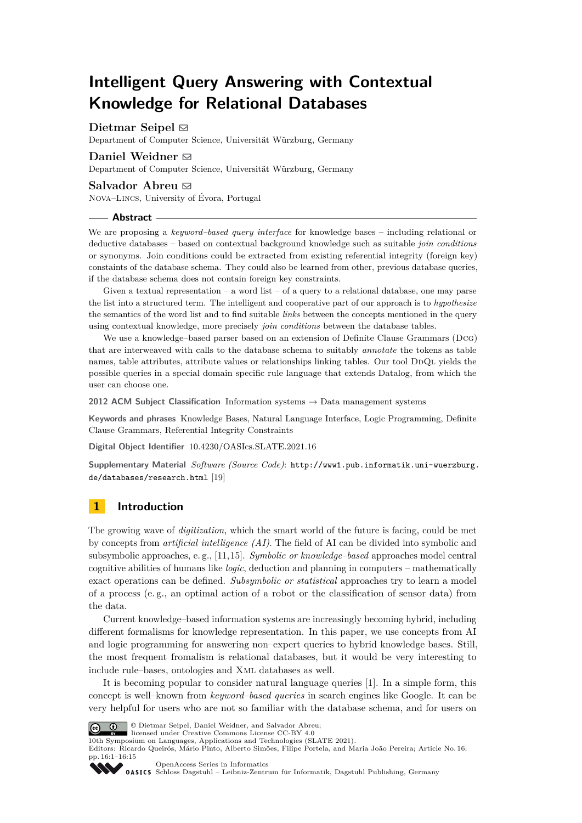# **Intelligent Query Answering with Contextual Knowledge for Relational Databases**

**Dietmar Seipel** [#](mailto:dietmar.seipel@uni-wuerzburg.de)

Department of Computer Science, Universität Würzburg, Germany

## **Daniel Weidner** ⊠

Department of Computer Science, Universität Würzburg, Germany

#### Salvador Abreu  $\boxtimes$

Nova–Lincs, University of Évora, Portugal

#### **Abstract**

We are proposing a *keyword–based query interface* for knowledge bases – including relational or deductive databases – based on contextual background knowledge such as suitable *join conditions* or synonyms. Join conditions could be extracted from existing referential integrity (foreign key) constaints of the database schema. They could also be learned from other, previous database queries, if the database schema does not contain foreign key constraints.

Given a textual representation – a word list – of a query to a relational database, one may parse the list into a structured term. The intelligent and cooperative part of our approach is to *hypothesize* the semantics of the word list and to find suitable *links* between the concepts mentioned in the query using contextual knowledge, more precisely *join conditions* between the database tables.

We use a knowledge–based parser based on an extension of Definite Clause Grammars (Dcg) that are interweaved with calls to the database schema to suitably *annotate* the tokens as table names, table attributes, attribute values or relationships linking tables. Our tool DDQL yields the possible queries in a special domain specific rule language that extends Datalog, from which the user can choose one.

**2012 ACM Subject Classification** Information systems → Data management systems

**Keywords and phrases** Knowledge Bases, Natural Language Interface, Logic Programming, Definite Clause Grammars, Referential Integrity Constraints

**Digital Object Identifier** [10.4230/OASIcs.SLATE.2021.16](https://doi.org/10.4230/OASIcs.SLATE.2021.16)

**Supplementary Material** *Software (Source Code)*: [http://www1.pub.informatik.uni-wuerzburg.](http://www1.pub.informatik.uni-wuerzburg.de/databases/research.html) [de/databases/research.html](http://www1.pub.informatik.uni-wuerzburg.de/databases/research.html) [\[19\]](#page-14-0)

## **1 Introduction**

The growing wave of *digitization*, which the smart world of the future is facing, could be met by concepts from *artificial intelligence (AI)*. The field of AI can be divided into symbolic and subsymbolic approaches, e. g., [\[11,](#page-14-1)[15\]](#page-14-2). *Symbolic or knowledge–based* approaches model central cognitive abilities of humans like *logic*, deduction and planning in computers – mathematically exact operations can be defined. *Subsymbolic or statistical* approaches try to learn a model of a process (e. g., an optimal action of a robot or the classification of sensor data) from the data.

Current knowledge–based information systems are increasingly becoming hybrid, including different formalisms for knowledge representation. In this paper, we use concepts from AI and logic programming for answering non–expert queries to hybrid knowledge bases. Still, the most frequent fromalism is relational databases, but it would be very interesting to include rule–bases, ontologies and Xml databases as well.

It is becoming popular to consider natural language queries [\[1\]](#page-13-0). In a simple form, this concept is well–known from *keyword–based queries* in search engines like Google. It can be very helpful for users who are not so familiar with the database schema, and for users on



© Dietmar Seipel, Daniel Weidner, and Salvador Abreu; licensed under Creative Commons License CC-BY 4.0

10th Symposium on Languages, Applications and Technologies (SLATE 2021).

Editors: Ricardo Queirós, Mário Pinto, Alberto Simões, Filipe Portela, and Maria João Pereira; Article No. 16; pp. 16:1–16:15

[OpenAccess Series in Informatics](https://www.dagstuhl.de/oasics/)

OASICS [Schloss Dagstuhl – Leibniz-Zentrum für Informatik, Dagstuhl Publishing, Germany](https://www.dagstuhl.de)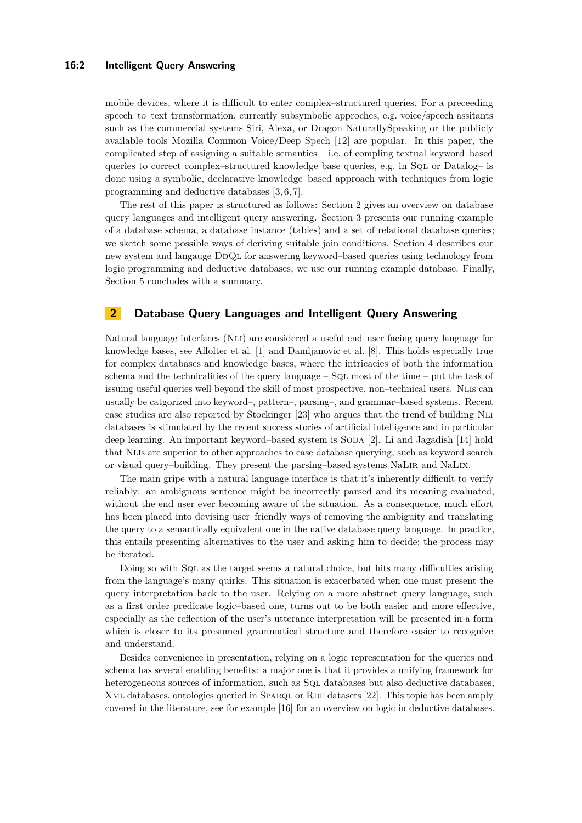#### **16:2 Intelligent Query Answering**

mobile devices, where it is difficult to enter complex–structured queries. For a preceeding speech–to–text transformation, currently subsymbolic approches, e.g. voice/speech assitants such as the commercial systems Siri, Alexa, or Dragon NaturallySpeaking or the publicly available tools Mozilla Common Voice/Deep Spech [\[12\]](#page-14-3) are popular. In this paper, the complicated step of assigning a suitable semantics – i.e. of compling textual keyword–based queries to correct complex–structured knowledge base queries, e.g. in Sql or Datalog– is done using a symbolic, declarative knowledge–based approach with techniques from logic programming and deductive databases [\[3,](#page-13-1) [6,](#page-14-4) [7\]](#page-14-5).

The rest of this paper is structured as follows: Section [2](#page-1-0) gives an overview on database query languages and intelligent query answering. Section [3](#page-2-0) presents our running example of a database schema, a database instance (tables) and a set of relational database queries; we sketch some possible ways of deriving suitable join conditions. Section [4](#page-6-0) describes our new system and langauge DdQl for answering keyword–based queries using technology from logic programming and deductive databases; we use our running example database. Finally, Section [5](#page-13-2) concludes with a summary.

## <span id="page-1-0"></span>**2 Database Query Languages and Intelligent Query Answering**

Natural language interfaces (Nli) are considered a useful end–user facing query language for knowledge bases, see Affolter et al. [\[1\]](#page-13-0) and Damljanovic et al. [\[8\]](#page-14-6). This holds especially true for complex databases and knowledge bases, where the intricacies of both the information schema and the technicalities of the query language –  $SQL$  most of the time – put the task of issuing useful queries well beyond the skill of most prospective, non–technical users. Nlis can usually be catgorized into keyword–, pattern–, parsing–, and grammar–based systems. Recent case studies are also reported by Stockinger [\[23\]](#page-14-7) who argues that the trend of building Nli databases is stimulated by the recent success stories of artificial intelligence and in particular deep learning. An important keyword–based system is SODA [\[2\]](#page-13-3). Li and Jagadish [\[14\]](#page-14-8) hold that Nlis are superior to other approaches to ease database querying, such as keyword search or visual query–building. They present the parsing–based systems NaLir and NaLix.

The main gripe with a natural language interface is that it's inherently difficult to verify reliably: an ambiguous sentence might be incorrectly parsed and its meaning evaluated, without the end user ever becoming aware of the situation. As a consequence, much effort has been placed into devising user–friendly ways of removing the ambiguity and translating the query to a semantically equivalent one in the native database query language. In practice, this entails presenting alternatives to the user and asking him to decide; the process may be iterated.

Doing so with Sql as the target seems a natural choice, but hits many difficulties arising from the language's many quirks. This situation is exacerbated when one must present the query interpretation back to the user. Relying on a more abstract query language, such as a first order predicate logic–based one, turns out to be both easier and more effective, especially as the reflection of the user's utterance interpretation will be presented in a form which is closer to its presumed grammatical structure and therefore easier to recognize and understand.

Besides convenience in presentation, relying on a logic representation for the queries and schema has several enabling benefits: a major one is that it provides a unifying framework for heterogeneous sources of information, such as SQL databases but also deductive databases, XML databases, ontologies queried in SPARQL or RDF datasets [\[22\]](#page-14-9). This topic has been amply covered in the literature, see for example [\[16\]](#page-14-10) for an overview on logic in deductive databases.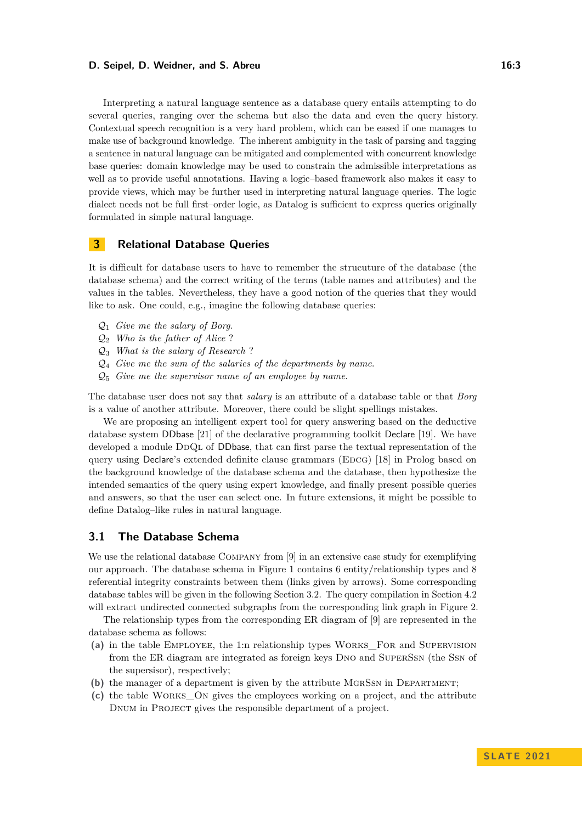#### **D. Seipel, D. Weidner, and S. Abreu 16:3** 16:3

Interpreting a natural language sentence as a database query entails attempting to do several queries, ranging over the schema but also the data and even the query history. Contextual speech recognition is a very hard problem, which can be eased if one manages to make use of background knowledge. The inherent ambiguity in the task of parsing and tagging a sentence in natural language can be mitigated and complemented with concurrent knowledge base queries: domain knowledge may be used to constrain the admissible interpretations as well as to provide useful annotations. Having a logic–based framework also makes it easy to provide views, which may be further used in interpreting natural language queries. The logic dialect needs not be full first–order logic, as Datalog is sufficient to express queries originally formulated in simple natural language.

# <span id="page-2-0"></span>**3 Relational Database Queries**

It is difficult for database users to have to remember the strucuture of the database (the database schema) and the correct writing of the terms (table names and attributes) and the values in the tables. Nevertheless, they have a good notion of the queries that they would like to ask. One could, e.g., imagine the following database queries:

- Q<sup>1</sup> *Give me the salary of Borg*.
- Q<sup>2</sup> *Who is the father of Alice* ?
- Q<sup>3</sup> *What is the salary of Research* ?
- Q<sup>4</sup> *Give me the sum of the salaries of the departments by name*.
- Q<sup>5</sup> *Give me the supervisor name of an employee by name*.

The database user does not say that *salary* is an attribute of a database table or that *Borg* is a value of another attribute. Moreover, there could be slight spellings mistakes.

We are proposing an intelligent expert tool for query answering based on the deductive database system DDbase [\[21\]](#page-14-11) of the declarative programming toolkit Declare [\[19\]](#page-14-0). We have developed a module DDQL of DDbase, that can first parse the textual representation of the query using Declare's extended definite clause grammars (EDCG) [\[18\]](#page-14-12) in Prolog based on the background knowledge of the database schema and the database, then hypothesize the intended semantics of the query using expert knowledge, and finally present possible queries and answers, so that the user can select one. In future extensions, it might be possible to define Datalog–like rules in natural language.

# **3.1 The Database Schema**

We use the relational database COMPANY from [\[9\]](#page-14-13) in an extensive case study for exemplifying our approach. The database schema in Figure [1](#page-3-0) contains 6 entity/relationship types and 8 referential integrity constraints between them (links given by arrows). Some corresponding database tables will be given in the following Section [3.2.](#page-3-1) The query compilation in Section [4.2](#page-7-0) will extract undirected connected subgraphs from the corresponding link graph in Figure [2.](#page-8-0)

The relationship types from the corresponding ER diagram of [\[9\]](#page-14-13) are represented in the database schema as follows:

- **(a)** in the table Employee, the 1:n relationship types Works\_For and Supervision from the ER diagram are integrated as foreign keys Dno and SuperSsn (the Ssn of the supersisor), respectively;
- **(b)** the manager of a department is given by the attribute MGRSSN in DEPARTMENT;
- **(c)** the table Works\_On gives the employees working on a project, and the attribute Dnum in Project gives the responsible department of a project.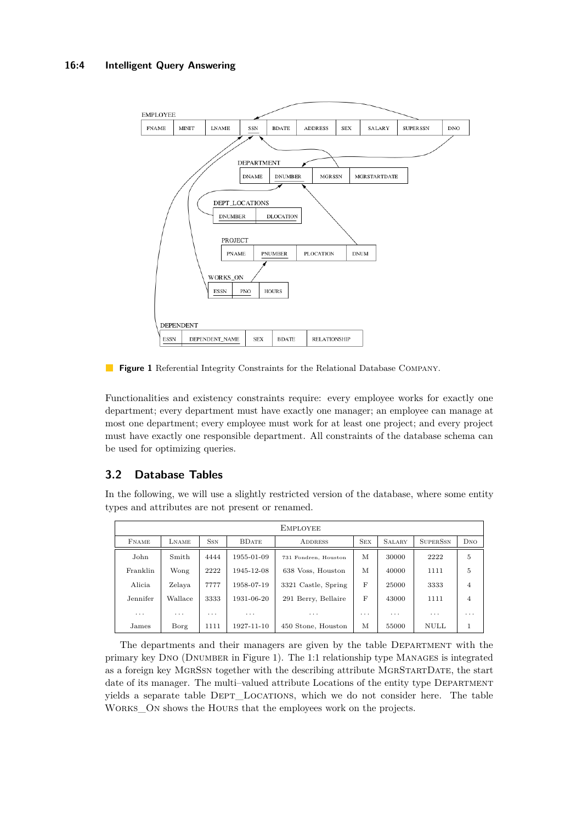# **16:4 Intelligent Query Answering**

<span id="page-3-0"></span>

**Figure 1** Referential Integrity Constraints for the Relational Database Company.

Functionalities and existency constraints require: every employee works for exactly one department; every department must have exactly one manager; an employee can manage at most one department; every employee must work for at least one project; and every project must have exactly one responsible department. All constraints of the database schema can be used for optimizing queries.

# <span id="page-3-1"></span>**3.2 Database Tables**

In the following, we will use a slightly restricted version of the database, where some entity types and attributes are not present or renamed.

| <b>EMPLOYEE</b>         |          |            |                         |                      |            |                         |                         |                |
|-------------------------|----------|------------|-------------------------|----------------------|------------|-------------------------|-------------------------|----------------|
| <b>FNAME</b>            | LNAME    | <b>SSN</b> | <b>BDATE</b>            | <b>ADDRESS</b>       | <b>SEX</b> | <b>SALARY</b>           | <b>SUPERSSN</b>         | DNO            |
| John                    | Smith    | 4444       | 1955-01-09              | 731 Fondren, Houston | M          | 30000                   | 2222                    | 5              |
| Franklin                | Wong     | 2222       | 1945-12-08              | 638 Voss, Houston    | M          | 40000                   | 1111                    | 5              |
| Alicia                  | Zelaya   | 7777       | 1958-07-19              | 3321 Castle, Spring  | F          | 25000                   | 3333                    | $\overline{4}$ |
| Jennifer                | Wallace  | 3333       | 1931-06-20              | 291 Berry, Bellaire  | F          | 43000                   | 1111                    | $\overline{4}$ |
| $\cdot$ $\cdot$ $\cdot$ | $\cdots$ | $\cdots$   | $\cdot$ $\cdot$ $\cdot$ | .                    | $\cdots$   | $\cdot$ $\cdot$ $\cdot$ | $\cdot$ $\cdot$ $\cdot$ | $\cdots$       |
| James                   | Borg     | 1111       | 1927-11-10              | 450 Stone, Houston   | M          | 55000                   | <b>NULL</b>             | 1              |

The departments and their managers are given by the table Department with the primary key Dno (Dnumber in Figure [1\)](#page-3-0). The 1:1 relationship type Manages is integrated as a foreign key MgrSsn together with the describing attribute MgrStartDate, the start date of its manager. The multi-valued attribute Locations of the entity type DEPARTMENT yields a separate table DEPT\_LOCATIONS, which we do not consider here. The table WORKS ON shows the HOURS that the employees work on the projects.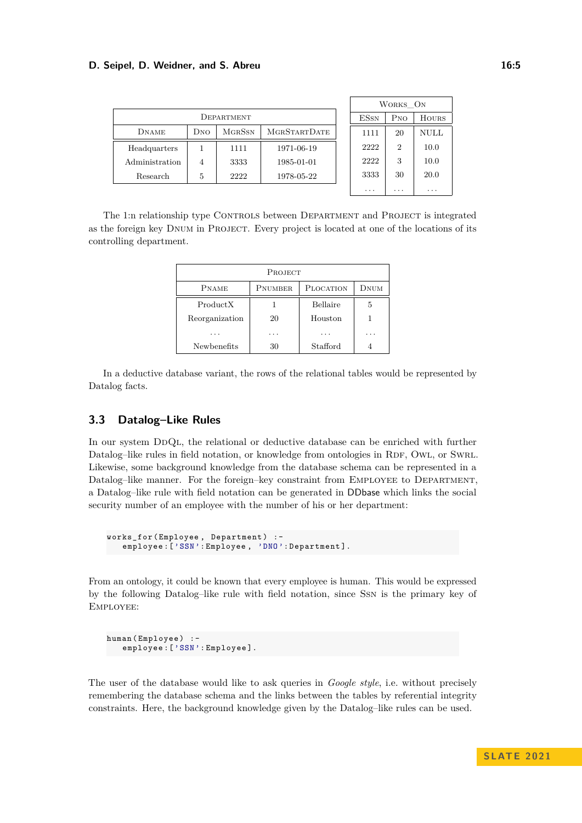#### **D. Seipel, D. Weidner, and S. Abreu 16:5 16:5 16:5**

|                |     |               |                     | WORKS ON    |                             |              |
|----------------|-----|---------------|---------------------|-------------|-----------------------------|--------------|
| DEPARTMENT     |     |               |                     | <b>ESSN</b> | P <sub>NO</sub>             | <b>HOURS</b> |
| <b>DNAME</b>   | DNO | <b>MGRSSN</b> | <b>MGRSTARTDATE</b> | 1111        | 20                          | NULL         |
| Headquarters   |     | 1111          | 1971-06-19          | 2222        | $\mathcal{D}_{\mathcal{L}}$ | 10.0         |
| Administration | 4   | 3333          | 1985-01-01          | 2222        | 3                           | 10.0         |
| Research       | 5   | 2222          | 1978-05-22          | 3333        | 30                          | 20.0         |
|                |     |               |                     | $\cdots$    | $\cdots$                    | $\cdots$     |

The 1:n relationship type CONTROLS between DEPARTMENT and PROJECT is integrated as the foreign key Dnum in Project. Every project is located at one of the locations of its controlling department.

| PROJECT            |         |           |           |  |  |
|--------------------|---------|-----------|-----------|--|--|
| <b>PNAME</b>       | PNUMBER | PLOCATION | DNUM      |  |  |
| Product X          |         | Bellaire  | 5         |  |  |
| Reorganization     | 20      | Houston   |           |  |  |
|                    |         |           | $\cdot$ . |  |  |
| <b>Newbenefits</b> | 30      | Stafford  |           |  |  |

In a deductive database variant, the rows of the relational tables would be represented by Datalog facts.

# **3.3 Datalog–Like Rules**

In our system DDQL, the relational or deductive database can be enriched with further Datalog–like rules in field notation, or knowledge from ontologies in RDF, OWL, or SWRL. Likewise, some background knowledge from the database schema can be represented in a Datalog–like manner. For the foreign–key constraint from EMPLOYEE to DEPARTMENT, a Datalog–like rule with field notation can be generated in DDbase which links the social security number of an employee with the number of his or her department:

```
works_for ( Employee , Department ) : -
   employee: ['SSN': Employee, 'DNO': Department].
```
From an ontology, it could be known that every employee is human. This would be expressed by the following Datalog–like rule with field notation, since Ssn is the primary key of Employee:

```
human (Employee) :-
   employee: ['SSN': Employee].
```
The user of the database would like to ask queries in *Google style*, i.e. without precisely remembering the database schema and the links between the tables by referential integrity constraints. Here, the background knowledge given by the Datalog–like rules can be used.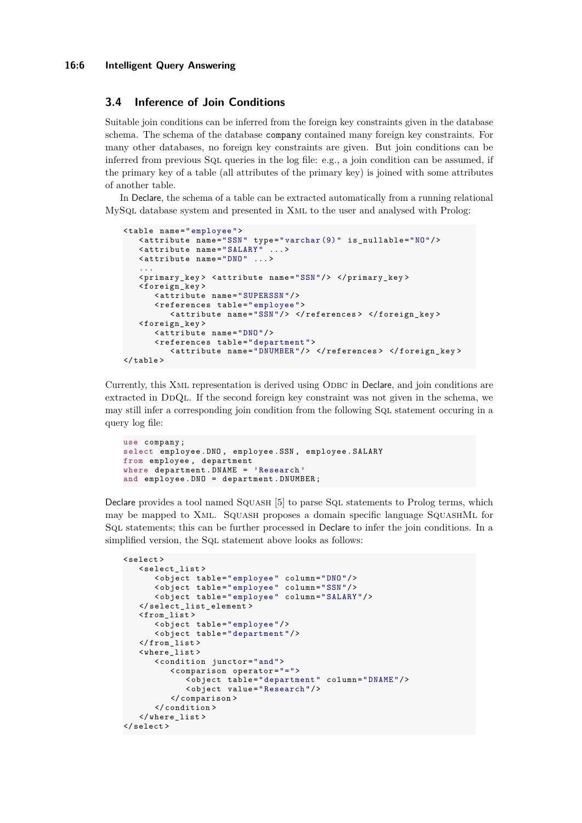## **3.4 Inference of Join Conditions**

Suitable join conditions can be inferred from the foreign key constraints given in the database schema. The schema of the database company contained many foreign key constraints. For many other databases, no foreign key constraints are given. But join conditions can be inferred from previous Sql queries in the log file: e.g., a join condition can be assumed, if the primary key of a table (all attributes of the primary key) is joined with some attributes of another table.

In Declare, the schema of a table can be extracted automatically from a running relational MySql database system and presented in Xml to the user and analysed with Prolog:

```
< table name =" employee ">
   < attribute name ="SSN " type =" varchar (9) " is_nullable ="NO"/ >
   <attribute name="SALARY"
   < attribute name ="DNO " ... >
   ...
   < primary_key > < attribute name ="SSN "/ > </ primary_key >
   < foreign_key >
       < attribute name =" SUPERSSN "/ >
       < references table =" employee ">
          < attribute name ="SSN "/ > </ references > </ foreign_key >
   < foreign_key >
       < attribute name ="DNO "/ >
       < references table =" department ">
          < attribute name =" DNUMBER "/ > </ references > </ foreign_key >
\langle/table >
```
Currently, this XML representation is derived using ODBC in Declare, and join conditions are extracted in DDQL. If the second foreign key constraint was not given in the schema, we may still infer a corresponding join condition from the following SqL statement occuring in a query log file:

```
use company ;
select employee . DNO , employee . SSN , employee . SALARY
from employee , department
where department . DNAME = 'Research '
and employee . DNO = department . DNUMBER ;
```
Declare provides a tool named SQUASH [\[5\]](#page-14-14) to parse SQL statements to Prolog terms, which may be mapped to Xml. Squash proposes a domain specific language SquashMl for Sql statements; this can be further processed in Declare to infer the join conditions. In a simplified version, the SQL statement above looks as follows:

```
< select >
   < select_list >
      < object table =" employee " column ="DNO "/ >
       < object table =" employee " column ="SSN "/ >
       < object table =" employee " column =" SALARY "/ >
   </ select_list_element >
   \frac{1}{1}< object table =" employee "/ >
      < object table =" department "/ >
   \langle from_list >
   < where_list >
      < condition junctor ="and ">
          < comparison operator ="=">
              < object table =" department " column =" DNAME "/ >
              < object value =" Research "/ >
          </ comparison >
       </ condition >
   </ where_list >
</ select >
```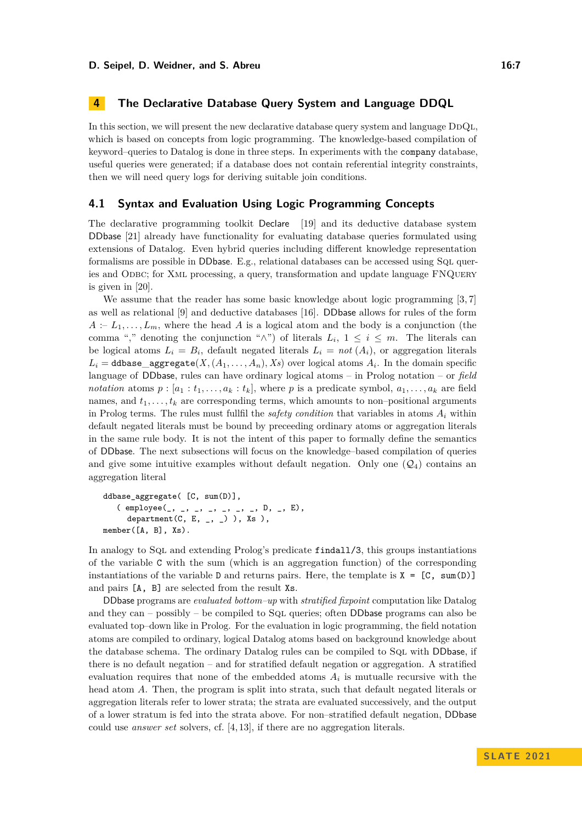<span id="page-6-0"></span>In this section, we will present the new declarative database query system and language  $DDQL$ . which is based on concepts from logic programming. The knowledge-based compilation of keyword–queries to Datalog is done in three steps. In experiments with the company database, useful queries were generated; if a database does not contain referential integrity constraints, then we will need query logs for deriving suitable join conditions.

## **4.1 Syntax and Evaluation Using Logic Programming Concepts**

The declarative programming toolkit Declare [\[19\]](#page-14-0) and its deductive database system DDbase [\[21\]](#page-14-11) already have functionality for evaluating database queries formulated using extensions of Datalog. Even hybrid queries including different knowledge representation formalisms are possible in DDbase. E.g., relational databases can be accessed using SQL queries and ODBC; for XML processing, a query, transformation and update language FNQUERY is given in [\[20\]](#page-14-15).

We assume that the reader has some basic knowledge about logic programming [\[3,](#page-13-1)7] as well as relational [\[9\]](#page-14-13) and deductive databases [\[16\]](#page-14-10). DDbase allows for rules of the form  $A := L_1, \ldots, L_m$ , where the head *A* is a logical atom and the body is a conjunction (the comma "," denoting the conjunction " $\wedge$ ") of literals  $L_i$ ,  $1 \leq i \leq m$ . The literals can be logical atoms  $L_i = B_i$ , default negated literals  $L_i = not(A_i)$ , or aggregation literals  $L_i =$  ddbase\_aggregate( $X$ *,*( $A_1$ ,...*,A<sub>n</sub>*)*,Xs*) over logical atoms  $A_i$ . In the domain specific language of DDbase, rules can have ordinary logical atoms – in Prolog notation – or *field notation* atoms  $p : [a_1 : t_1, \ldots, a_k : t_k]$ , where  $p$  is a predicate symbol,  $a_1, \ldots, a_k$  are field names, and  $t_1, \ldots, t_k$  are corresponding terms, which amounts to non–positional arguments in Prolog terms. The rules must fullfil the *safety condition* that variables in atoms  $A_i$  within default negated literals must be bound by preceeding ordinary atoms or aggregation literals in the same rule body. It is not the intent of this paper to formally define the semantics of DDbase. The next subsections will focus on the knowledge–based compilation of queries and give some intuitive examples without default negation. Only one  $(Q_4)$  contains an aggregation literal

```
ddbase_aggregate( [C, sum(D)],
   ( employee(_, _, _, _, _, _, _, D, _, E),
     department(C, E, _, _) ), Xs),
member([A, B], Xs).
```
In analogy to SqL and extending Prolog's predicate findall/3, this groups instantiations of the variable C with the sum (which is an aggregation function) of the corresponding instantiations of the variable D and returns pairs. Here, the template is  $X = [C, \text{sum}(D)]$ and pairs [A, B] are selected from the result Xs.

DDbase programs are *evaluated bottom–up* with *stratified fixpoint* computation like Datalog and they can – possibly – be compiled to  $SqL$  queries; often DDbase programs can also be evaluated top–down like in Prolog. For the evaluation in logic programming, the field notation atoms are compiled to ordinary, logical Datalog atoms based on background knowledge about the database schema. The ordinary Datalog rules can be compiled to SqL with DDbase, if there is no default negation – and for stratified default negation or aggregation. A stratified evaluation requires that none of the embedded atoms  $A_i$  is mutualle recursive with the head atom *A*. Then, the program is split into strata, such that default negated literals or aggregation literals refer to lower strata; the strata are evaluated successively, and the output of a lower stratum is fed into the strata above. For non–stratified default negation, DDbase could use *answer set* solvers, cf. [\[4,](#page-13-4) [13\]](#page-14-16), if there are no aggregation literals.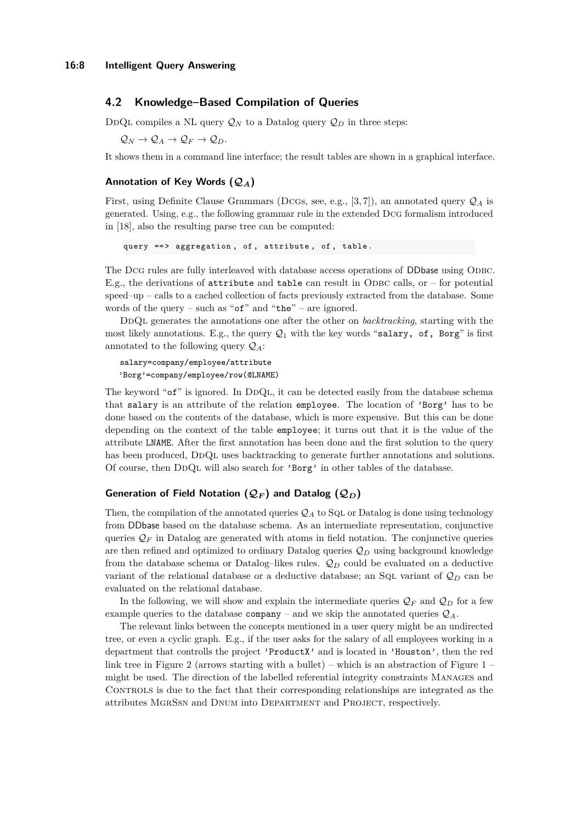## <span id="page-7-0"></span>**4.2 Knowledge–Based Compilation of Queries**

DDQL compiles a NL query  $\mathcal{Q}_N$  to a Datalog query  $\mathcal{Q}_D$  in three steps:

 $\mathcal{Q}_N \to \mathcal{Q}_A \to \mathcal{Q}_F \to \mathcal{Q}_D$ .

It shows them in a command line interface; the result tables are shown in a graphical interface.

## **Annotation of Key Words (Q***A***)**

First, using Definite Clause Grammars (DcGs, see, e.g., [\[3,](#page-13-1)7]), an annotated query  $\mathcal{Q}_A$  is generated. Using, e.g., the following grammar rule in the extended Dcg formalism introduced in [\[18\]](#page-14-12), also the resulting parse tree can be computed:

query ==> aggregation, of, attribute, of, table.

The DcG rules are fully interleaved with database access operations of DDbase using ODBC. E.g., the derivations of attribute and table can result in ODBC calls, or – for potential speed–up – calls to a cached collection of facts previously extracted from the database. Some words of the query – such as " $of$ " and "the" – are ignored.

DDQL generates the annotations one after the other on *backtracking*, starting with the most likely annotations. E.g., the query  $Q_1$  with the key words "salary, of, Borg" is first annotated to the following query Q*A*:

salary=company/employee/attribute 'Borg'=company/employee/row(@LNAME)

The keyword " $\sigma f$ " is ignored. In DDOL, it can be detected easily from the database schema that salary is an attribute of the relation employee. The location of 'Borg' has to be done based on the contents of the database, which is more expensive. But this can be done depending on the context of the table employee; it turns out that it is the value of the attribute LNAME. After the first annotation has been done and the first solution to the query has been produced, DDQL uses backtracking to generate further annotations and solutions. Of course, then DDQL will also search for 'Borg' in other tables of the database.

### **Generation of Field Notation**  $(Q_F)$  **and Datalog**  $(Q_D)$

Then, the compilation of the annotated queries  $\mathcal{Q}_A$  to SqL or Datalog is done using technology from DDbase based on the database schema. As an intermediate representation, conjunctive queries  $\mathcal{Q}_F$  in Datalog are generated with atoms in field notation. The conjunctive queries are then refined and optimized to ordinary Datalog queries Q*<sup>D</sup>* using background knowledge from the database schema or Datalog–likes rules.  $\mathcal{Q}_D$  could be evaluated on a deductive variant of the relational database or a deductive database; an Sql variant of  $\mathcal{Q}_D$  can be evaluated on the relational database.

In the following, we will show and explain the intermediate queries  $\mathcal{Q}_F$  and  $\mathcal{Q}_D$  for a few example queries to the database company – and we skip the annotated queries Q*A*.

The relevant links between the concepts mentioned in a user query might be an undirected tree, or even a cyclic graph. E.g., if the user asks for the salary of all employees working in a department that controlls the project 'ProductX' and is located in 'Houston', then the red link tree in Figure [2](#page-8-0) (arrows starting with a bullet) – which is an abstraction of Figure  $1$ might be used. The direction of the labelled referential integrity constraints Manages and CONTROLS is due to the fact that their corresponding relationships are integrated as the attributes MgrSsn and Dnum into Department and Project, respectively.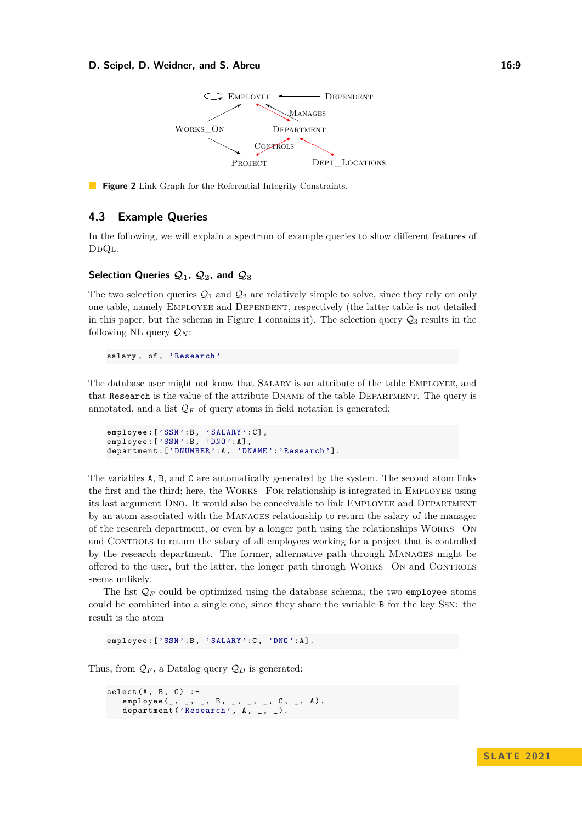#### <span id="page-8-0"></span>**D. Seipel, D. Weidner, and S. Abreu 16:9 16:9 16:9**



**Figure 2** Link Graph for the Referential Integrity Constraints.

## **4.3 Example Queries**

In the following, we will explain a spectrum of example queries to show different features of D<sub>DQL</sub>.

## Selection Queries  $Q_1$ ,  $Q_2$ , and  $Q_3$

The two selection queries  $\mathcal{Q}_1$  and  $\mathcal{Q}_2$  are relatively simple to solve, since they rely on only one table, namely Employee and Dependent, respectively (the latter table is not detailed in this paper, but the schema in Figure [1](#page-3-0) contains it). The selection query  $\mathcal{Q}_3$  results in the following NL query  $\mathcal{Q}_N$ :

salary, of, 'Research'

The database user might not know that Salary is an attribute of the table Employee, and that Research is the value of the attribute Dname of the table Department. The query is annotated, and a list  $\mathcal{Q}_F$  of query atoms in field notation is generated:

```
employee: ['SSN':B, 'SALARY': C],
employee: ['SSN': B, 'DNO': A],
department : ['DNUMBER': A, 'DNAME': 'Research'].
```
The variables A, B, and C are automatically generated by the system. The second atom links the first and the third; here, the Works\_For relationship is integrated in Employee using its last argument Dno. It would also be conceivable to link Employee and Department by an atom associated with the MANAGES relationship to return the salary of the manager of the research department, or even by a longer path using the relationships Works\_On and CONTROLS to return the salary of all employees working for a project that is controlled by the research department. The former, alternative path through Manages might be offered to the user, but the latter, the longer path through Works\_On and Controls seems unlikely.

The list  $\mathcal{Q}_F$  could be optimized using the database schema; the two employee atoms could be combined into a single one, since they share the variable B for the key Ssn: the result is the atom

employee: ['SSN':B, 'SALARY':C, 'DNO':A]

Thus, from  $\mathcal{Q}_F$ , a Datalog query  $\mathcal{Q}_D$  is generated:

```
select(A, B, C) :-<br>employee(, , , , , B,
    employee (_ , _ , _ , B , _ , _ , _ , C , _ , A ) ,
    department ('Research', A, _, _).
```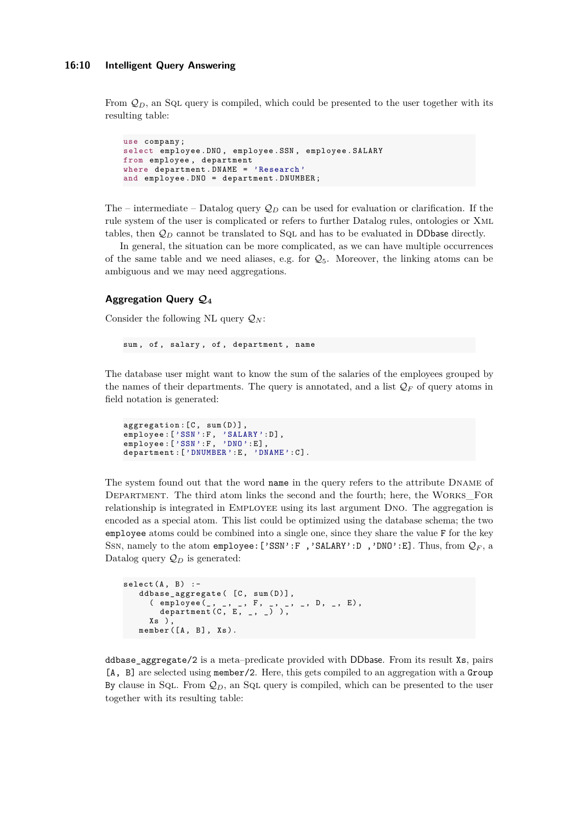From  $\mathcal{Q}_D$ , an SqL query is compiled, which could be presented to the user together with its resulting table:

```
use company ;
select employee . DNO , employee . SSN , employee . SALARY
from employee , department
where department . DNAME = 'Research '
and employee . DNO = department . DNUMBER ;
```
The – intermediate – Datalog query  $\mathcal{Q}_D$  can be used for evaluation or clarification. If the rule system of the user is complicated or refers to further Datalog rules, ontologies or Xml tables, then  $\mathcal{Q}_D$  cannot be translated to SqL and has to be evaluated in DDbase directly.

In general, the situation can be more complicated, as we can have multiple occurrences of the same table and we need aliases, e.g. for  $\mathcal{Q}_5$ . Moreover, the linking atoms can be ambiguous and we may need aggregations.

## **Aggregation Query Q<sup>4</sup>**

Consider the following NL query  $\mathcal{Q}_N$ :

```
sum, of, salary, of, department, name
```
The database user might want to know the sum of the salaries of the employees grouped by the names of their departments. The query is annotated, and a list  $\mathcal{Q}_F$  of query atoms in field notation is generated:

```
aggregation: [C, sum(D)],employee:['SSN':F, 'SALARY':D],
employee:['SSN':F, 'DNO':E],
department : ['DNUMBER' : E, 'DNAME' : C].
```
The system found out that the word name in the query refers to the attribute Dname of DEPARTMENT. The third atom links the second and the fourth; here, the WORKS FOR relationship is integrated in Employee using its last argument Dno. The aggregation is encoded as a special atom. This list could be optimized using the database schema; the two employee atoms could be combined into a single one, since they share the value F for the key Ssn, namely to the atom employee:['SSN':F ,'SALARY':D ,'DNO':E]. Thus, from Q*<sup>F</sup>* , a Datalog query  $\mathcal{Q}_D$  is generated:

```
select(A, B) :-
    ddbase_aggregate ([C, sum(D)],<br>(employee \begin{pmatrix} 0, & 1, & 0 \\ 0, & -1, & -1, & -1 \end{pmatrix}( employee (_, _, _, F, _, _, _, D, _, E),
            department (C, E, _, _) ),
        Xs ) ,
    member ([A, B], Xs).
```
ddbase\_aggregate/2 is a meta–predicate provided with DDbase. From its result Xs, pairs [A, B] are selected using member/2. Here, this gets compiled to an aggregation with a Group By clause in SqL. From  $\mathcal{Q}_D$ , an SqL query is compiled, which can be presented to the user together with its resulting table: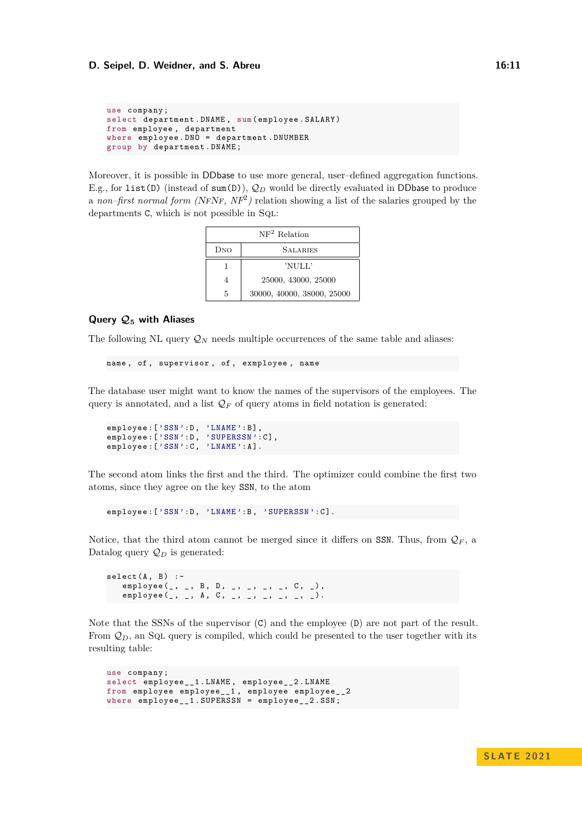```
use company ;
select department . DNAME , sum( employee . SALARY )
from employee , department
where employee . DNO = department . DNUMBER
group by department . DNAME ;
```
Moreover, it is possible in DDbase to use more general, user–defined aggregation functions. E.g., for list(D) (instead of sum(D)),  $Q_D$  would be directly evaluated in DDbase to produce a *non–first normal form (NFNF, NF<sup>2</sup>)* relation showing a list of the salaries grouped by the departments C, which is not possible in Sql:

| $NF2$ Relation |                            |  |  |  |  |
|----------------|----------------------------|--|--|--|--|
| DNO            | <b>SALARIES</b>            |  |  |  |  |
|                | 'NULL'                     |  |  |  |  |
|                | 25000, 43000, 25000        |  |  |  |  |
| 5              | 30000, 40000, 38000, 25000 |  |  |  |  |

#### **Query Q<sup>5</sup> with Aliases**

The following NL query  $\mathcal{Q}_N$  needs multiple occurrences of the same table and aliases:

```
name , of , supervisor , of , exmployee , name
```
The database user might want to know the names of the supervisors of the employees. The query is annotated, and a list  $\mathcal{Q}_F$  of query atoms in field notation is generated:

```
employee:['SSN':D, 'LNAME':B],
employee :[ 'SSN ':D , 'SUPERSSN ': C ] ,
employee : ['SSN' : C, 'LNAME' : A].
```
The second atom links the first and the third. The optimizer could combine the first two atoms, since they agree on the key SSN, to the atom

employee: ['SSN': D, 'LNAME': B, 'SUPERSSN': C].

Notice, that the third atom cannot be merged since it differs on SSN. Thus, from  $\mathcal{Q}_F$ , a Datalog query  $\mathcal{Q}_D$  is generated:

```
select(A, B) :-
   employee (_, _, B, D, _, _, _, _, C, _),
   employee(_, _, A, C, _, _, _, _, _, _).
```
Note that the SSNs of the supervisor  $(C)$  and the employee  $(D)$  are not part of the result. From  $\mathcal{Q}_D$ , an SQL query is compiled, which could be presented to the user together with its resulting table:

```
use company ;
select employee__1 . LNAME , employee__2 . LNAME
from employee employee__1 , employee employee__2
where employee__1 . SUPERSSN = employee__2 . SSN ;
```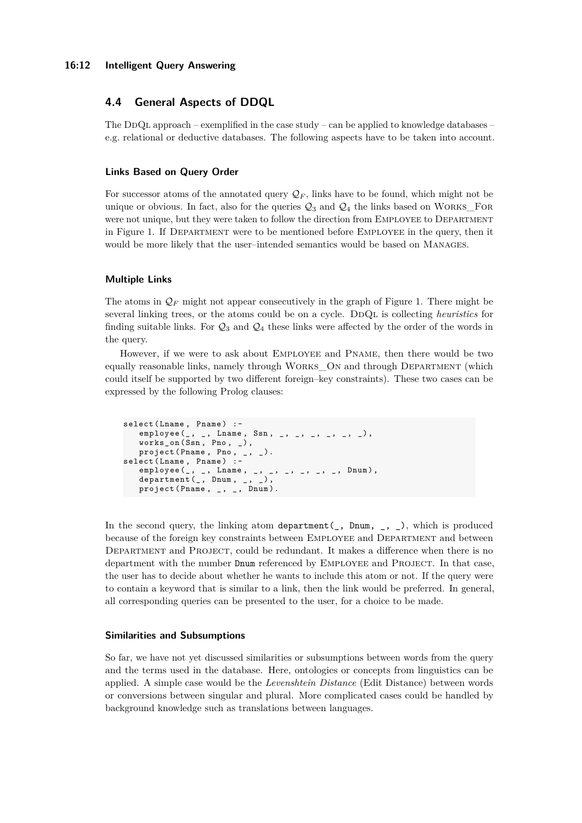#### **16:12 Intelligent Query Answering**

# **4.4 General Aspects of DDQL**

The DDQL approach – exemplified in the case study – can be applied to knowledge databases – e.g. relational or deductive databases. The following aspects have to be taken into account.

#### **Links Based on Query Order**

For successor atoms of the annotated query  $\mathcal{Q}_F$ , links have to be found, which might not be unique or obvious. In fact, also for the queries  $\mathcal{Q}_3$  and  $\mathcal{Q}_4$  the links based on WORKS\_FOR were not unique, but they were taken to follow the direction from EMPLOYEE to DEPARTMENT in Figure [1.](#page-3-0) If Department were to be mentioned before Employee in the query, then it would be more likely that the user–intended semantics would be based on Manages.

#### **Multiple Links**

The atoms in  $\mathcal{Q}_F$  might not appear consecutively in the graph of Figure [1.](#page-3-0) There might be several linking trees, or the atoms could be on a cycle. DDQL is collecting *heuristics* for finding suitable links. For  $\mathcal{Q}_3$  and  $\mathcal{Q}_4$  these links were affected by the order of the words in the query.

However, if we were to ask about Employee and Pname, then there would be two equally reasonable links, namely through Works\_On and through Department (which could itself be supported by two different foreign–key constraints). These two cases can be expressed by the following Prolog clauses:

```
select (Lname, Pname) :-
     employee (_, _, Lname, Ssn, _, _, _, _, _, _),
     works_on ( Ssn , Pno , _ ) ,
    \text{project}(\text{Pname}, \text{Pno}, \_, \_).
select (Lname, Pname) :-
    employee (\_,\_,\_,\ Lname, \_,\_,\_,\_,\_,\ . Dnum), department (\_,\ Dnum, \_,\_),
    \frac{1}{2} department (\frac{1}{2}, Dnum, \frac{1}{2},
    \text{project}(\text{Pname}, \_, \_, \_, \text{Dnum}).
```
In the second query, the linking atom department(, Dnum, , ,), which is produced because of the foreign key constraints between Employee and Department and between DEPARTMENT and PROJECT, could be redundant. It makes a difference when there is no department with the number Dnum referenced by EMPLOYEE and PROJECT. In that case, the user has to decide about whether he wants to include this atom or not. If the query were to contain a keyword that is similar to a link, then the link would be preferred. In general, all corresponding queries can be presented to the user, for a choice to be made.

#### **Similarities and Subsumptions**

So far, we have not yet discussed similarities or subsumptions between words from the query and the terms used in the database. Here, ontologies or concepts from linguistics can be applied. A simple case would be the *Levenshtein Distance* (Edit Distance) between words or conversions between singular and plural. More complicated cases could be handled by background knowledge such as translations between languages.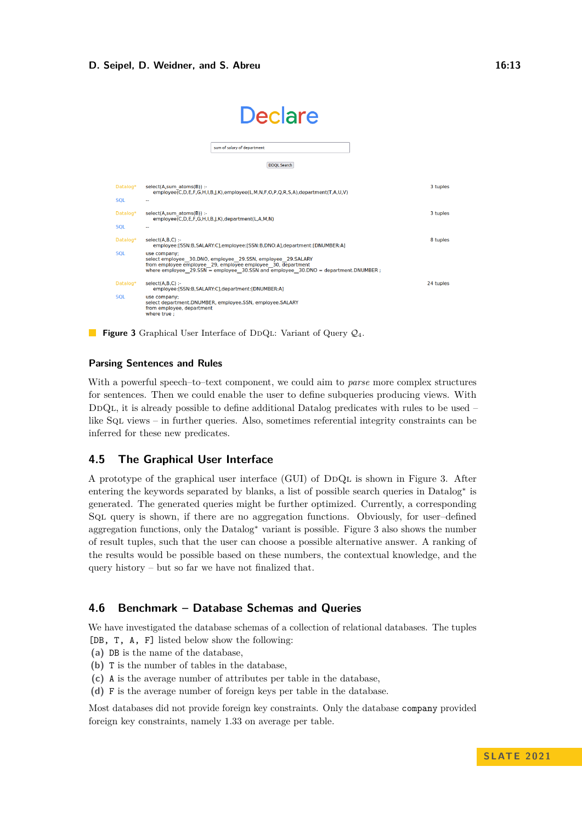#### **D. Seipel, D. Weidner, and S. Abreu 16:13 16:13**

<span id="page-12-0"></span>

|            | <b>Declare</b>                                                                                                                                                                                                                    |           |
|------------|-----------------------------------------------------------------------------------------------------------------------------------------------------------------------------------------------------------------------------------|-----------|
|            | sum of salary of department                                                                                                                                                                                                       |           |
|            | <b>DDQL Search</b>                                                                                                                                                                                                                |           |
| Datalog*   | select(A,sum atoms(B)) :-<br>employee(C,D,E,F,G,H,I,B,J,K),employee(L,M,N,F,O,P,O,R,S,A),department(T,A,U,V)                                                                                                                      | 3 tuples  |
| <b>SOL</b> | 44                                                                                                                                                                                                                                |           |
| Datalog*   | select(A,sum atoms(B)) :-<br>employee(C,D,E,F,G,H,I,B,J,K),department(L,A,M,N)                                                                                                                                                    | 3 tuples  |
| <b>SOL</b> | ۰.                                                                                                                                                                                                                                |           |
| Datalog*   | $select(A.B.C)$ :-<br>employee:[SSN:B,SALARY:C],employee:[SSN:B,DNO:A],department:[DNUMBER:A]                                                                                                                                     | 8 tuples  |
| <b>SQL</b> | use company;<br>select employee 30.DNO, employee 29.SSN, employee 29.SALARY<br>from employee employee 29, employee employee 30, department<br>where employee $29.55N =$ employee 30.55N and employee 30.DNO = department.DNUMBER; |           |
| Datalog*   | $select(A, B, C)$ :-<br>employee:[SSN:B,SALARY:C],department:[DNUMBER:A]                                                                                                                                                          | 24 tuples |
| <b>SOL</b> | use company:<br>select department.DNUMBER, employee.SSN, employee.SALARY<br>from employee, department<br>where true:                                                                                                              |           |

**Figure 3** Graphical User Interface of DDQL: Variant of Query  $Q_4$ .

# **Parsing Sentences and Rules**

With a powerful speech–to–text component, we could aim to *parse* more complex structures for sentences. Then we could enable the user to define subqueries producing views. With DDQL, it is already possible to define additional Datalog predicates with rules to be used – like Sql views – in further queries. Also, sometimes referential integrity constraints can be inferred for these new predicates.

# **4.5 The Graphical User Interface**

A prototype of the graphical user interface (GUI) of DDQL is shown in Figure [3.](#page-12-0) After entering the keywords separated by blanks, a list of possible search queries in Datalog<sup>∗</sup> is generated. The generated queries might be further optimized. Currently, a corresponding Sql query is shown, if there are no aggregation functions. Obviously, for user–defined aggregation functions, only the Datalog<sup>∗</sup> variant is possible. Figure [3](#page-12-0) also shows the number of result tuples, such that the user can choose a possible alternative answer. A ranking of the results would be possible based on these numbers, the contextual knowledge, and the query history – but so far we have not finalized that.

# **4.6 Benchmark – Database Schemas and Queries**

We have investigated the database schemas of a collection of relational databases. The tuples [DB, T, A, F] listed below show the following:

- **(a)** DB is the name of the database,
- **(b)** T is the number of tables in the database,
- **(c)** A is the average number of attributes per table in the database,
- **(d)** F is the average number of foreign keys per table in the database.

Most databases did not provide foreign key constraints. Only the database company provided foreign key constraints, namely 1.33 on average per table.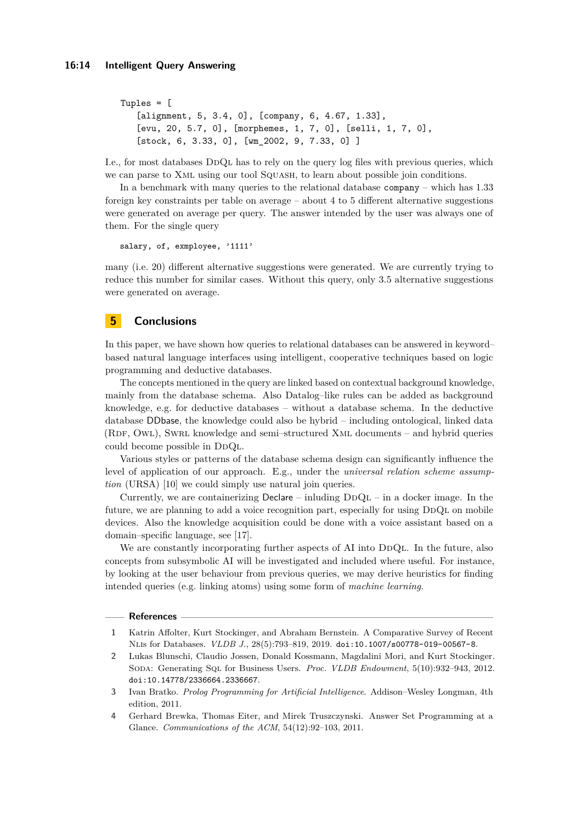```
Tuples = [
   [alignment, 5, 3.4, 0], [company, 6, 4.67, 1.33],
   [evu, 20, 5.7, 0], [morphemes, 1, 7, 0], [selli, 1, 7, 0],
   [stock, 6, 3.33, 0], [wm_2002, 9, 7.33, 0] ]
```
I.e., for most databases DDQL has to rely on the query log files with previous queries, which we can parse to XML using our tool SQUASH, to learn about possible join conditions.

In a benchmark with many queries to the relational database company – which has 1.33 foreign key constraints per table on average – about 4 to 5 different alternative suggestions were generated on average per query. The answer intended by the user was always one of them. For the single query

salary, of, exmployee, '1111'

many (i.e. 20) different alternative suggestions were generated. We are currently trying to reduce this number for similar cases. Without this query, only 3.5 alternative suggestions were generated on average.

# <span id="page-13-2"></span>**5 Conclusions**

In this paper, we have shown how queries to relational databases can be answered in keyword– based natural language interfaces using intelligent, cooperative techniques based on logic programming and deductive databases.

The concepts mentioned in the query are linked based on contextual background knowledge, mainly from the database schema. Also Datalog–like rules can be added as background knowledge, e.g. for deductive databases – without a database schema. In the deductive database DDbase, the knowledge could also be hybrid – including ontological, linked data  $(RDF, OWL)$ , SwRL knowledge and semi–structured XML documents – and hybrid queries could become possible in DDQL.

Various styles or patterns of the database schema design can significantly influence the level of application of our approach. E.g., under the *universal relation scheme assumption* (URSA) [\[10\]](#page-14-17) we could simply use natural join queries.

Currently, we are containerizing  $Declare - inluding DDQL - in a docker image. In the$ future, we are planning to add a voice recognition part, especially for using DDQL on mobile devices. Also the knowledge acquisition could be done with a voice assistant based on a domain–specific language, see [\[17\]](#page-14-18).

We are constantly incorporating further aspects of AI into DDQL. In the future, also concepts from subsymbolic AI will be investigated and included where useful. For instance, by looking at the user behaviour from previous queries, we may derive heuristics for finding intended queries (e.g. linking atoms) using some form of *machine learning*.

#### **References**

- <span id="page-13-0"></span>**1** Katrin Affolter, Kurt Stockinger, and Abraham Bernstein. A Comparative Survey of Recent Nlis for Databases. *VLDB J.*, 28(5):793–819, 2019. [doi:10.1007/s00778-019-00567-8](https://doi.org/10.1007/s00778-019-00567-8).
- <span id="page-13-3"></span>**2** Lukas Blunschi, Claudio Jossen, Donald Kossmann, Magdalini Mori, and Kurt Stockinger. Soda: Generating Sql for Business Users. *Proc. VLDB Endowment*, 5(10):932–943, 2012. [doi:10.14778/2336664.2336667](https://doi.org/10.14778/2336664.2336667).
- <span id="page-13-1"></span>**3** Ivan Bratko. *Prolog Programming for Artificial Intelligence*. Addison–Wesley Longman, 4th edition, 2011.
- <span id="page-13-4"></span>**4** Gerhard Brewka, Thomas Eiter, and Mirek Truszczynski. Answer Set Programming at a Glance. *Communications of the ACM*, 54(12):92–103, 2011.